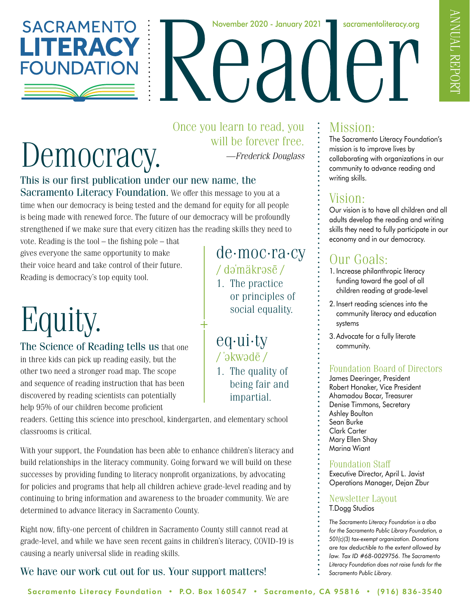

November 2020 - January 2021 **Fig. 3 Socramentoliteracy.org** 

# Democracy.

Once you learn to read, you will be forever free. *—Frederick Douglass*

eq·ui·ty

/ 'əkwədē /

1. The quality of being fair and

de·moc·ra·cy

or principles of social equality.

1. The practice

/də'mäkrəsē/

impartial.

#### This is our first publication under our new name, the

Sacramento Literacy Foundation. We offer this message to you at a time when our democracy is being tested and the demand for equity for all people is being made with renewed force. The future of our democracy will be profoundly strengthened if we make sure that every citizen has the reading skills they need to

vote. Reading is the tool – the fishing pole – that gives everyone the same opportunity to make their voice heard and take control of their future. Reading is democracy's top equity tool.

# Equity.

The Science of Reading tells us that one in three kids can pick up reading easily, but the other two need a stronger road map. The scope and sequence of reading instruction that has been discovered by reading scientists can potentially help 95% of our children become proficient

readers. Getting this science into preschool, kindergarten, and elementary school classrooms is critical.

With your support, the Foundation has been able to enhance children's literacy and build relationships in the literacy community. Going forward we will build on these successes by providing funding to literacy nonprofit organizations, by advocating for policies and programs that help all children achieve grade-level reading and by continuing to bring information and awareness to the broader community. We are determined to advance literacy in Sacramento County.

Right now, fifty-one percent of children in Sacramento County still cannot read at grade-level, and while we have seen recent gains in children's literacy, COVID-19 is causing a nearly universal slide in reading skills.

#### We have our work cut out for us. Your support matters!

### Mission:

The Sacramento Literacy Foundation's mission is to improve lives by collaborating with organizations in our community to advance reading and writing skills.

### Vision:

Our vision is to have all children and all adults develop the reading and writing skills they need to fully participate in our economy and in our democracy.

### Our Goals:

- 1. Increase philanthropic literacy funding toward the goal of all children reading at grade-level
- 2. Insert reading sciences into the community literacy and education systems
- 3.Advocate for a fully literate community.

#### Foundation Board of Directors

James Deeringer, President Robert Honaker, Vice President Ahamadou Bocar, Treasurer Denise Timmons, Secretary Ashley Boulton Sean Burke Clark Carter Mary Ellen Shay Marina Wiant

#### Foundation Staff

Executive Director, April L. Javist Operations Manager, Dejan Zbur

#### Newsletter Layout T.Dogg Studios

*The Sacramento Literacy Foundation is a dba for the Sacramento Public Library Foundation, a 501(c)(3) tax-exempt organization. Donations are tax deductible to the extent allowed by law. Tax ID #68-0029756. The Sacramento Literacy Foundation does not raise funds for the Sacramento Public Library.*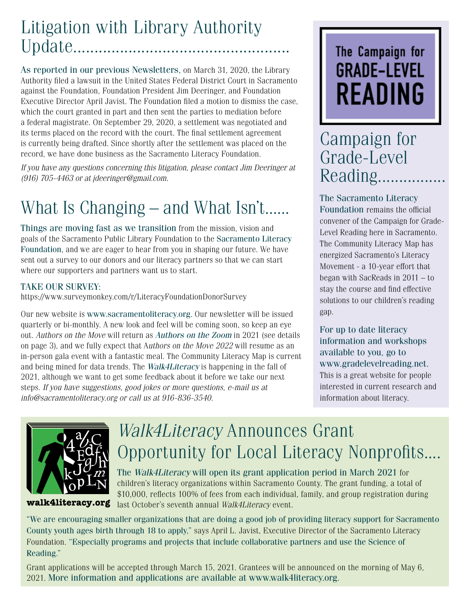### Litigation with Library Authority Update...................................................

As reported in our previous Newsletters, on March 31, 2020, the Library Authority filed a lawsuit in the United States Federal District Court in Sacramento against the Foundation, Foundation President Jim Deeringer, and Foundation Executive Director April Javist. The Foundation filed a motion to dismiss the case, which the court granted in part and then sent the parties to mediation before a federal magistrate. On September 29, 2020, a settlement was negotiated and its terms placed on the record with the court. The final settlement agreement is currently being drafted. Since shortly after the settlement was placed on the record, we have done business as the Sacramento Literacy Foundation.

*If you have any questions concerning this litigation, please contact Jim Deeringer at (916) 705-4463 or at jdeeringer@gmail.com.*

# What Is Changing – and What Isn't......

Things are moving fast as we transition from the mission, vision and goals of the Sacramento Public Library Foundation to the Sacramento Literacy Foundation, and we are eager to hear from you in shaping our future. We have sent out a survey to our donors and our literacy partners so that we can start where our supporters and partners want us to start.

#### TAKE OUR SURVEY:

https://www.surveymonkey.com/r/LiteracyFoundationDonorSurvey

Our new website is www.sacramentoliteracy.org. Our newsletter will be issued quarterly or bi-monthly. A new look and feel will be coming soon, so keep an eye out. *Authors on the Move* will return as *Authors on the Zoom* in 2021 (see details on page 3), and we fully expect that A*uthors on the Move 2022* will resume as an in-person gala event with a fantastic meal. The Community Literacy Map is current and being mined for data trends. The *Walk4Literacy* is happening in the fall of 2021, although we want to get some feedback about it before we take our next steps. *If you have suggestions, good jokes or more questions, e-mail us at info@sacramentoliteracy.org or call us at 916-836-3540.* 

# The Campaign for **GRADE-LEVEL** READING

### Campaign for Grade-Level Reading.................

The Sacramento Literacy Foundation remains the official convener of the Campaign for Grade-Level Reading here in Sacramento. The Community Literacy Map has energized Sacramento's Literacy Movement - a 10-year effort that began with SacReads in 2011 – to stay the course and find effective solutions to our children's reading gap.

#### For up to date literacy information and workshops available to you, go to www.gradelevelreading.net. This is a great website for people interested in current research and information about literacy.



# *Walk4Literacy* Announces Grant Opportunity for Local Literacy Nonprofits....

The *Walk4Literacy* will open its grant application period in March 2021 for children's literacy organizations within Sacramento County. The grant funding, a total of \$10,000, reflects 100% of fees from each individual, family, and group registration during last October's seventh annual *Walk4Literacy* event.

"We are encouraging smaller organizations that are doing a good job of providing literacy support for Sacramento County youth ages birth through 18 to apply," says April L. Javist, Executive Director of the Sacramento Literacy Foundation. "Especially programs and projects that include collaborative partners and use the Science of Reading."

Grant applications will be accepted through March 15, 2021. Grantees will be announced on the morning of May 6, 2021. More information and applications are available at www.walk4literacy.org.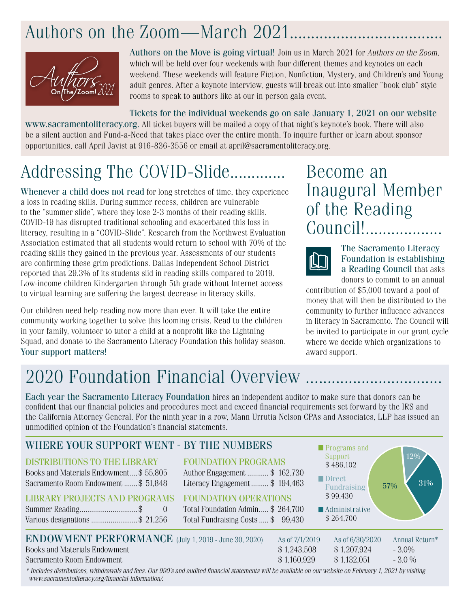## Authors on the Zoom—March 2021..........



Authors on the Move is going virtual! Join us in March 2021 for *Authors on the Zoom*, which will be held over four weekends with four different themes and keynotes on each weekend. These weekends will feature Fiction, Nonfiction, Mystery, and Children's and Young adult genres. After a keynote interview, guests will break out into smaller "book club" style rooms to speak to authors like at our in person gala event.

Tickets for the individual weekends go on sale January 1, 2021 on our website www.sacramentoliteracy.org. All ticket buyers will be mailed a copy of that night's keynote's book. There will also be a silent auction and Fund-a-Need that takes place over the entire month. To inquire further or learn about sponsor opportunities, call April Javist at 916-836-3556 or email at april@sacramentoliteracy.org.

# Addressing The COVID-Slide.............

Whenever a child does not read for long stretches of time, they experience a loss in reading skills. During summer recess, children are vulnerable to the "summer slide", where they lose 2-3 months of their reading skills. COVID-19 has disrupted traditional schooling and exacerbated this loss in literacy, resulting in a "COVID-Slide". Research from the Northwest Evaluation Association estimated that all students would return to school with 70% of the reading skills they gained in the previous year. Assessments of our students are confirming these grim predictions. Dallas Independent School District reported that 29.3% of its students slid in reading skills compared to 2019. Low-income children Kindergarten through 5th grade without Internet access to virtual learning are suffering the largest decrease in literacy skills.

Our children need help reading now more than ever. It will take the entire community working together to solve this looming crisis. Read to the children in your family, volunteer to tutor a child at a nonprofit like the Lightning Squad, and donate to the Sacramento Literacy Foundation this holiday season. Your support matters!

Become an Inaugural Member of the Reading Council!..................



The Sacramento Literacy Foundation is establishing a Reading Council that asks donors to commit to an annual

contribution of \$5,000 toward a pool of money that will then be distributed to the community to further influence advances in literacy in Sacramento. The Council will be invited to participate in our grant cycle where we decide which organizations to award support.

## 2020 Foundation Financial Overview .....

Each year the Sacramento Literacy Foundation hires an independent auditor to make sure that donors can be confident that our financial policies and procedures meet and exceed financial requirements set forward by the IRS and the California Attorney General. For the ninth year in a row, Mann Urrutia Nelson CPAs and Associates, LLP has issued an unmodified opinion of the Foundation's financial statements.

| WHERE YOUR SUPPORT WENT - BY THE NUMBERS<br><b>DISTRIBUTIONS TO THE LIBRARY</b><br>Books and Materials Endowment\$ 55,805<br>Sacramento Room Endowment\$ 51,848<br><b>LIBRARY PROJECTS AND PROGRAMS</b><br>Various designations  \$ 21,256 | <b>FOUNDATION PROGRAMS</b><br>Author Engagement  \$162,730<br>Literacy Engagement\$194,463<br><b>FOUNDATION OPERATIONS</b><br>Total Foundation Admin \$264,700<br>Total Fundraising Costs  \$99,430 | Programs and<br>Support<br>\$486,102<br>Direct<br><b>Fundraising</b><br>\$99,430<br><b>Administrative</b><br>\$264,700 | 12%<br>31%<br>57%                      |
|--------------------------------------------------------------------------------------------------------------------------------------------------------------------------------------------------------------------------------------------|-----------------------------------------------------------------------------------------------------------------------------------------------------------------------------------------------------|------------------------------------------------------------------------------------------------------------------------|----------------------------------------|
| <b>ENDOWMENT PERFORMANCE</b> (July 1, 2019 - June 30, 2020)<br><b>Books and Materials Endowment</b><br>Sacramento Room Endowment                                                                                                           | As of 7/1/2019<br>\$1,243,508<br>\$1,160,929                                                                                                                                                        | As of 6/30/2020<br>\$1,207,924<br>\$1,132,051                                                                          | Annual Return*<br>$-3.0\%$<br>$-3.0\%$ |
| * Includes distributions, withdrawals and fees. Our 990's and audited financial statements will be available on our website on February 1, 2021 by visiting                                                                                |                                                                                                                                                                                                     |                                                                                                                        |                                        |

 *www.sacramentoliteracy.org/financial-information/.*